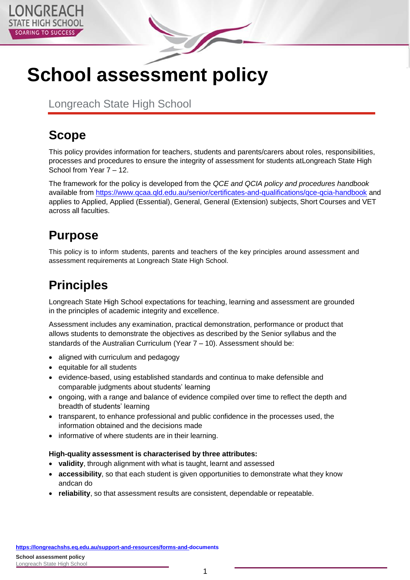

# **School assessment policy**

Longreach State High School

# **Scope**

This policy provides information for teachers, students and parents/carers about roles, responsibilities, processes and procedures to ensure the integrity of assessment for students atLongreach State High School from Year 7 – 12.

The framework for the policy is developed from the *QCE and QCIA policy and procedures handbook*  available from<https://www.qcaa.qld.edu.au/senior/certificates-and-qualifications/qce-qcia-handbook> and applies to Applied, Applied (Essential), General, General (Extension) subjects, Short Courses and VET across all faculties.

# **Purpose**

This policy is to inform students, parents and teachers of the key principles around assessment and assessment requirements at Longreach State High School.

### **Principles**

Longreach State High School expectations for teaching, learning and assessment are grounded in the principles of academic integrity and excellence.

Assessment includes any examination, practical demonstration, performance or product that allows students to demonstrate the objectives as described by the Senior syllabus and the standards of the Australian Curriculum (Year 7 – 10). Assessment should be:

- aligned with curriculum and pedagogy
- equitable for all students
- evidence-based, using established standards and continua to make defensible and comparable judgments about students' learning
- ongoing, with a range and balance of evidence compiled over time to reflect the depth and breadth of students' learning
- transparent, to enhance professional and public confidence in the processes used, the information obtained and the decisions made
- informative of where students are in their learning.

#### **High-quality assessment is characterised by three attributes:**

- **validity**, through alignment with what is taught, learnt and assessed
- **accessibility**, so that each student is given opportunities to demonstrate what they know andcan do
- **reliability**, so that assessment results are consistent, dependable or repeatable.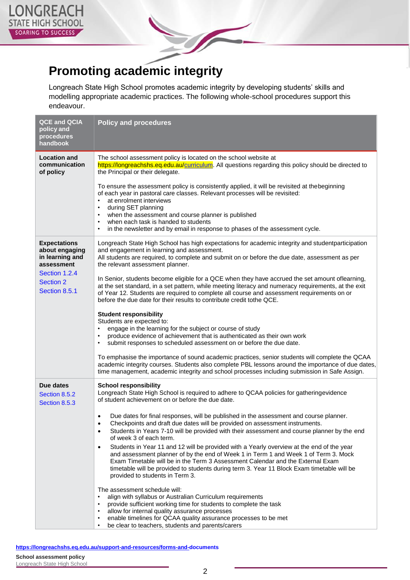



Longreach State High School promotes academic integrity by developing students' skills and modelling appropriate academic practices. The following whole-school procedures support this endeavour.

| <b>QCE and QCIA</b><br>policy and<br>procedures<br>handbook            | <b>Policy and procedures</b>                                                                                                                                                                                                                                                                                                                                                                                                                                             |
|------------------------------------------------------------------------|--------------------------------------------------------------------------------------------------------------------------------------------------------------------------------------------------------------------------------------------------------------------------------------------------------------------------------------------------------------------------------------------------------------------------------------------------------------------------|
| <b>Location and</b><br>communication<br>of policy                      | The school assessment policy is located on the school website at<br>https://longreachshs.eq.edu.au/curriculum. All questions regarding this policy should be directed to<br>the Principal or their delegate.                                                                                                                                                                                                                                                             |
|                                                                        | To ensure the assessment policy is consistently applied, it will be revisited at thebeginning<br>of each year in pastoral care classes. Relevant processes will be revisited:<br>at enrolment interviews<br>$\bullet$<br>during SET planning<br>٠<br>when the assessment and course planner is published<br>$\bullet$<br>when each task is handed to students<br>$\bullet$<br>in the newsletter and by email in response to phases of the assessment cycle.<br>$\bullet$ |
| <b>Expectations</b><br>about engaging<br>in learning and<br>assessment | Longreach State High School has high expectations for academic integrity and studentparticipation<br>and engagement in learning and assessment.<br>All students are required, to complete and submit on or before the due date, assessment as per<br>the relevant assessment planner.                                                                                                                                                                                    |
| Section 1.2.4<br><b>Section 2</b><br>Section 8.5.1                     | In Senior, students become eligible for a QCE when they have accrued the set amount oflearning,<br>at the set standard, in a set pattern, while meeting literacy and numeracy requirements, at the exit<br>of Year 12. Students are required to complete all course and assessment requirements on or<br>before the due date for their results to contribute credit tothe QCE.                                                                                           |
|                                                                        | <b>Student responsibility</b><br>Students are expected to:<br>engage in the learning for the subject or course of study<br>$\bullet$<br>produce evidence of achievement that is authenticated as their own work<br>$\bullet$<br>submit responses to scheduled assessment on or before the due date.<br>٠<br>To emphasise the importance of sound academic practices, senior students will complete the QCAA                                                              |
|                                                                        | academic integrity courses. Students also complete PBL lessons around the importance of due dates,<br>time management, academic integrity and school processes including submission in Safe Assign.                                                                                                                                                                                                                                                                      |
| Due dates<br>Section 8.5.2<br>Section 8.5.3                            | <b>School responsibility</b><br>Longreach State High School is required to adhere to QCAA policies for gatheringevidence<br>of student achievement on or before the due date.                                                                                                                                                                                                                                                                                            |
|                                                                        | Due dates for final responses, will be published in the assessment and course planner.<br>$\bullet$<br>Checkpoints and draft due dates will be provided on assessment instruments.<br>Students in Years 7-10 will be provided with their assessment and course planner by the end<br>٠<br>of week 3 of each term.                                                                                                                                                        |
|                                                                        | Students in Year 11 and 12 will be provided with a Yearly overview at the end of the year<br>$\bullet$<br>and assessment planner of by the end of Week 1 in Term 1 and Week 1 of Term 3. Mock<br>Exam Timetable will be in the Term 3 Assessment Calendar and the External Exam<br>timetable will be provided to students during term 3. Year 11 Block Exam timetable will be<br>provided to students in Term 3.                                                         |
|                                                                        | The assessment schedule will:<br>align with syllabus or Australian Curriculum requirements<br>$\bullet$<br>provide sufficient working time for students to complete the task<br>allow for internal quality assurance processes<br>$\bullet$<br>enable timelines for QCAA quality assurance processes to be met<br>be clear to teachers, students and parents/carers                                                                                                      |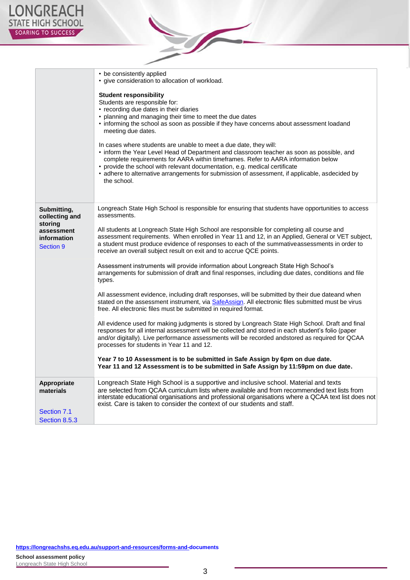

|                                                                                    | • be consistently applied<br>• give consideration to allocation of workload.<br><b>Student responsibility</b><br>Students are responsible for:<br>• recording due dates in their diaries<br>planning and managing their time to meet the due dates<br>• informing the school as soon as possible if they have concerns about assessment loadand<br>meeting due dates.<br>In cases where students are unable to meet a due date, they will:<br>• inform the Year Level Head of Department and classroom teacher as soon as possible, and<br>complete requirements for AARA within timeframes. Refer to AARA information below<br>provide the school with relevant documentation, e.g. medical certificate<br>• adhere to alternative arrangements for submission of assessment, if applicable, asdecided by<br>the school. |
|------------------------------------------------------------------------------------|---------------------------------------------------------------------------------------------------------------------------------------------------------------------------------------------------------------------------------------------------------------------------------------------------------------------------------------------------------------------------------------------------------------------------------------------------------------------------------------------------------------------------------------------------------------------------------------------------------------------------------------------------------------------------------------------------------------------------------------------------------------------------------------------------------------------------|
| Submitting,<br>collecting and<br>storing<br>assessment<br>information<br>Section 9 | Longreach State High School is responsible for ensuring that students have opportunities to access<br>assessments.<br>All students at Longreach State High School are responsible for completing all course and<br>assessment requirements. When enrolled in Year 11 and 12, in an Applied, General or VET subject,<br>a student must produce evidence of responses to each of the summativeassessments in order to<br>receive an overall subject result on exit and to accrue QCE points.                                                                                                                                                                                                                                                                                                                                |
|                                                                                    | Assessment instruments will provide information about Longreach State High School's<br>arrangements for submission of draft and final responses, including due dates, conditions and file<br>types.                                                                                                                                                                                                                                                                                                                                                                                                                                                                                                                                                                                                                       |
|                                                                                    | All assessment evidence, including draft responses, will be submitted by their due dateand when<br>stated on the assessment instrument, via SafeAssign. All electronic files submitted must be virus<br>free. All electronic files must be submitted in required format.                                                                                                                                                                                                                                                                                                                                                                                                                                                                                                                                                  |
|                                                                                    | All evidence used for making judgments is stored by Longreach State High School. Draft and final<br>responses for all internal assessment will be collected and stored in each student's folio (paper<br>and/or digitally). Live performance assessments will be recorded andstored as required for QCAA<br>processes for students in Year 11 and 12.                                                                                                                                                                                                                                                                                                                                                                                                                                                                     |
|                                                                                    | Year 7 to 10 Assessment is to be submitted in Safe Assign by 6pm on due date.<br>Year 11 and 12 Assessment is to be submitted in Safe Assign by 11:59pm on due date.                                                                                                                                                                                                                                                                                                                                                                                                                                                                                                                                                                                                                                                      |
| Appropriate<br>materials                                                           | Longreach State High School is a supportive and inclusive school. Material and texts<br>are selected from QCAA curriculum lists where available and from recommended text lists from<br>interstate educational organisations and professional organisations where a QCAA text list does not<br>exist. Care is taken to consider the context of our students and staff.                                                                                                                                                                                                                                                                                                                                                                                                                                                    |
| Section 7.1                                                                        |                                                                                                                                                                                                                                                                                                                                                                                                                                                                                                                                                                                                                                                                                                                                                                                                                           |
| Section 8.5.3                                                                      |                                                                                                                                                                                                                                                                                                                                                                                                                                                                                                                                                                                                                                                                                                                                                                                                                           |

 $\sum_{i=1}^{n}$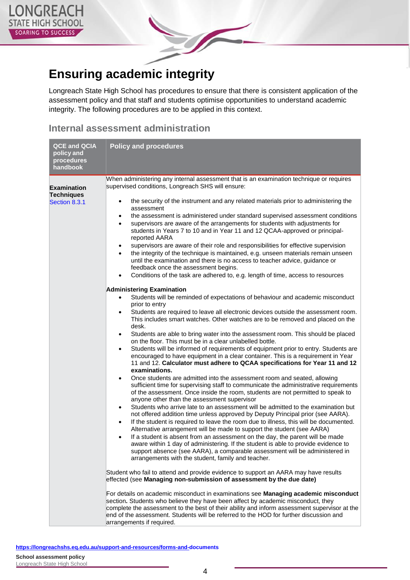

### **Ensuring academic integrity**

Longreach State High School has procedures to ensure that there is consistent application of the assessment policy and that staff and students optimise opportunities to understand academic integrity. The following procedures are to be applied in this context.

#### **Internal assessment administration**

| <b>QCE and QCIA</b><br>policy and<br>procedures<br>handbook | <b>Policy and procedures</b>                                                                                                                                                                                                                                                                                                                                                                                                                                                                                                                                                                                                                                                                                                                                                                                                                                                                                                                                                                                                                                                                                                                                                                                                                                                                                                                                                                                                                                                                                                                                                                                                                                                                                                                                                                                                                                                                                                                                                                                                                                                                                                                                                                                                                                                                                                                                                                                                                                                                                                                                                                                                                                                                                                                                                                                                                                                                                                                                                  |
|-------------------------------------------------------------|-------------------------------------------------------------------------------------------------------------------------------------------------------------------------------------------------------------------------------------------------------------------------------------------------------------------------------------------------------------------------------------------------------------------------------------------------------------------------------------------------------------------------------------------------------------------------------------------------------------------------------------------------------------------------------------------------------------------------------------------------------------------------------------------------------------------------------------------------------------------------------------------------------------------------------------------------------------------------------------------------------------------------------------------------------------------------------------------------------------------------------------------------------------------------------------------------------------------------------------------------------------------------------------------------------------------------------------------------------------------------------------------------------------------------------------------------------------------------------------------------------------------------------------------------------------------------------------------------------------------------------------------------------------------------------------------------------------------------------------------------------------------------------------------------------------------------------------------------------------------------------------------------------------------------------------------------------------------------------------------------------------------------------------------------------------------------------------------------------------------------------------------------------------------------------------------------------------------------------------------------------------------------------------------------------------------------------------------------------------------------------------------------------------------------------------------------------------------------------------------------------------------------------------------------------------------------------------------------------------------------------------------------------------------------------------------------------------------------------------------------------------------------------------------------------------------------------------------------------------------------------------------------------------------------------------------------------------------------------|
| <b>Examination</b><br><b>Techniques</b><br>Section 8.3.1    | When administering any internal assessment that is an examination technique or requires<br>supervised conditions, Longreach SHS will ensure:<br>the security of the instrument and any related materials prior to administering the<br>$\bullet$<br>assessment<br>the assessment is administered under standard supervised assessment conditions<br>$\bullet$<br>supervisors are aware of the arrangements for students with adjustments for<br>$\bullet$<br>students in Years 7 to 10 and in Year 11 and 12 QCAA-approved or principal-<br>reported AARA<br>supervisors are aware of their role and responsibilities for effective supervision<br>$\bullet$<br>the integrity of the technique is maintained, e.g. unseen materials remain unseen<br>$\bullet$<br>until the examination and there is no access to teacher advice, guidance or<br>feedback once the assessment begins.<br>Conditions of the task are adhered to, e.g. length of time, access to resources<br>$\bullet$<br><b>Administering Examination</b><br>Students will be reminded of expectations of behaviour and academic misconduct<br>$\bullet$<br>prior to entry<br>Students are required to leave all electronic devices outside the assessment room.<br>$\bullet$<br>This includes smart watches. Other watches are to be removed and placed on the<br>desk.<br>Students are able to bring water into the assessment room. This should be placed<br>$\bullet$<br>on the floor. This must be in a clear unlabelled bottle.<br>Students will be informed of requirements of equipment prior to entry. Students are<br>$\bullet$<br>encouraged to have equipment in a clear container. This is a requirement in Year<br>11 and 12. Calculator must adhere to QCAA specifications for Year 11 and 12<br>examinations.<br>Once students are admitted into the assessment room and seated, allowing<br>$\bullet$<br>sufficient time for supervising staff to communicate the administrative requirements<br>of the assessment. Once inside the room, students are not permitted to speak to<br>anyone other than the assessment supervisor<br>Students who arrive late to an assessment will be admitted to the examination but<br>$\bullet$<br>not offered addition time unless approved by Deputy Principal prior (see AARA).<br>If the student is required to leave the room due to illness, this will be documented.<br>$\bullet$<br>Alternative arrangement will be made to support the student (see AARA)<br>If a student is absent from an assessment on the day, the parent will be made<br>$\bullet$<br>aware within 1 day of administering. If the student is able to provide evidence to<br>support absence (see AARA), a comparable assessment will be administered in<br>arrangements with the student, family and teacher.<br>Student who fail to attend and provide evidence to support an AARA may have results<br>effected (see Managing non-submission of assessment by the due date) |
|                                                             | For details on academic misconduct in examinations see Managing academic misconduct<br>section. Students who believe they have been affect by academic misconduct, they<br>complete the assessment to the best of their ability and inform assessment supervisor at the<br>end of the assessment. Students will be referred to the HOD for further discussion and<br>arrangements if required.                                                                                                                                                                                                                                                                                                                                                                                                                                                                                                                                                                                                                                                                                                                                                                                                                                                                                                                                                                                                                                                                                                                                                                                                                                                                                                                                                                                                                                                                                                                                                                                                                                                                                                                                                                                                                                                                                                                                                                                                                                                                                                                                                                                                                                                                                                                                                                                                                                                                                                                                                                                |

**<https://longreachshs.eq.edu.au/support-and-resources/forms-and->[documents](https://longreachshs.eq.edu.au/support-and-resources/forms-and-documents) School assessment policy** Longreach State High School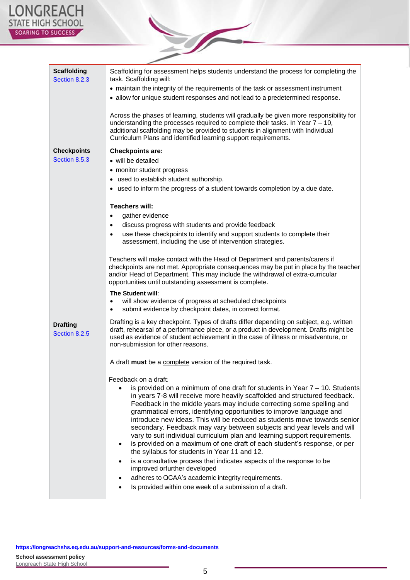| <b>Scaffolding</b><br>Section 8.2.3 | Scaffolding for assessment helps students understand the process for completing the<br>task. Scaffolding will:                                                                                                                                                                                                                                                                                                                                                                                                                                                                                                                                                                                                                                                              |  |  |
|-------------------------------------|-----------------------------------------------------------------------------------------------------------------------------------------------------------------------------------------------------------------------------------------------------------------------------------------------------------------------------------------------------------------------------------------------------------------------------------------------------------------------------------------------------------------------------------------------------------------------------------------------------------------------------------------------------------------------------------------------------------------------------------------------------------------------------|--|--|
|                                     | • maintain the integrity of the requirements of the task or assessment instrument                                                                                                                                                                                                                                                                                                                                                                                                                                                                                                                                                                                                                                                                                           |  |  |
|                                     | • allow for unique student responses and not lead to a predetermined response.                                                                                                                                                                                                                                                                                                                                                                                                                                                                                                                                                                                                                                                                                              |  |  |
|                                     | Across the phases of learning, students will gradually be given more responsibility for<br>understanding the processes required to complete their tasks. In Year $7 - 10$ ,<br>additional scaffolding may be provided to students in alignment with Individual<br>Curriculum Plans and identified learning support requirements.                                                                                                                                                                                                                                                                                                                                                                                                                                            |  |  |
| <b>Checkpoints</b>                  | <b>Checkpoints are:</b>                                                                                                                                                                                                                                                                                                                                                                                                                                                                                                                                                                                                                                                                                                                                                     |  |  |
| Section 8.5.3                       | • will be detailed                                                                                                                                                                                                                                                                                                                                                                                                                                                                                                                                                                                                                                                                                                                                                          |  |  |
|                                     | • monitor student progress                                                                                                                                                                                                                                                                                                                                                                                                                                                                                                                                                                                                                                                                                                                                                  |  |  |
|                                     | • used to establish student authorship.                                                                                                                                                                                                                                                                                                                                                                                                                                                                                                                                                                                                                                                                                                                                     |  |  |
|                                     | • used to inform the progress of a student towards completion by a due date.                                                                                                                                                                                                                                                                                                                                                                                                                                                                                                                                                                                                                                                                                                |  |  |
|                                     | <b>Teachers will:</b>                                                                                                                                                                                                                                                                                                                                                                                                                                                                                                                                                                                                                                                                                                                                                       |  |  |
|                                     | gather evidence<br>$\bullet$                                                                                                                                                                                                                                                                                                                                                                                                                                                                                                                                                                                                                                                                                                                                                |  |  |
|                                     | discuss progress with students and provide feedback<br>$\bullet$                                                                                                                                                                                                                                                                                                                                                                                                                                                                                                                                                                                                                                                                                                            |  |  |
|                                     | use these checkpoints to identify and support students to complete their<br>$\bullet$                                                                                                                                                                                                                                                                                                                                                                                                                                                                                                                                                                                                                                                                                       |  |  |
|                                     | assessment, including the use of intervention strategies.                                                                                                                                                                                                                                                                                                                                                                                                                                                                                                                                                                                                                                                                                                                   |  |  |
|                                     | Teachers will make contact with the Head of Department and parents/carers if<br>checkpoints are not met. Appropriate consequences may be put in place by the teacher<br>and/or Head of Department. This may include the withdrawal of extra-curricular<br>opportunities until outstanding assessment is complete.                                                                                                                                                                                                                                                                                                                                                                                                                                                           |  |  |
|                                     | The Student will:                                                                                                                                                                                                                                                                                                                                                                                                                                                                                                                                                                                                                                                                                                                                                           |  |  |
|                                     | will show evidence of progress at scheduled checkpoints<br>submit evidence by checkpoint dates, in correct format.                                                                                                                                                                                                                                                                                                                                                                                                                                                                                                                                                                                                                                                          |  |  |
| <b>Drafting</b><br>Section 8.2.5    | Drafting is a key checkpoint. Types of drafts differ depending on subject, e.g. written<br>draft, rehearsal of a performance piece, or a product in development. Drafts might be<br>used as evidence of student achievement in the case of illness or misadventure, or<br>non-submission for other reasons.                                                                                                                                                                                                                                                                                                                                                                                                                                                                 |  |  |
|                                     | A draft must be a complete version of the required task.                                                                                                                                                                                                                                                                                                                                                                                                                                                                                                                                                                                                                                                                                                                    |  |  |
|                                     | Feedback on a draft:                                                                                                                                                                                                                                                                                                                                                                                                                                                                                                                                                                                                                                                                                                                                                        |  |  |
|                                     | is provided on a minimum of one draft for students in Year $7 - 10$ . Students<br>in years 7-8 will receive more heavily scaffolded and structured feedback.<br>Feedback in the middle years may include correcting some spelling and<br>grammatical errors, identifying opportunities to improve language and<br>introduce new ideas. This will be reduced as students move towards senior<br>secondary. Feedback may vary between subjects and year levels and will<br>vary to suit individual curriculum plan and learning support requirements.<br>is provided on a maximum of one draft of each student's response, or per<br>٠<br>the syllabus for students in Year 11 and 12.<br>is a consultative process that indicates aspects of the response to be<br>$\bullet$ |  |  |
|                                     | improved orfurther developed                                                                                                                                                                                                                                                                                                                                                                                                                                                                                                                                                                                                                                                                                                                                                |  |  |
|                                     | adheres to QCAA's academic integrity requirements.                                                                                                                                                                                                                                                                                                                                                                                                                                                                                                                                                                                                                                                                                                                          |  |  |
|                                     | Is provided within one week of a submission of a draft.                                                                                                                                                                                                                                                                                                                                                                                                                                                                                                                                                                                                                                                                                                                     |  |  |
|                                     |                                                                                                                                                                                                                                                                                                                                                                                                                                                                                                                                                                                                                                                                                                                                                                             |  |  |

 $\sqrt{2}$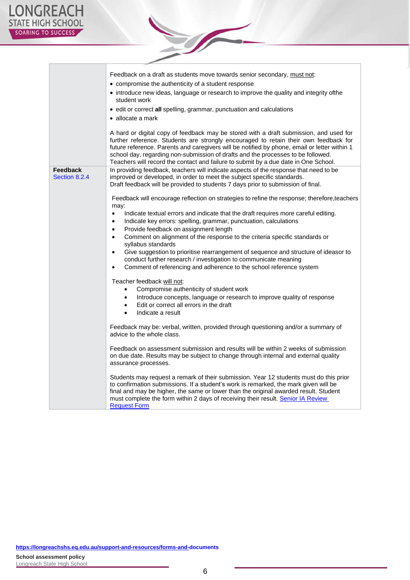É

|                                  | Feedback on a draft as students move towards senior secondary, must not:<br>• compromise the authenticity of a student response<br>• introduce new ideas, language or research to improve the quality and integrity ofthe<br>student work<br>• edit or correct all spelling, grammar, punctuation and calculations<br>• allocate a mark<br>A hard or digital copy of feedback may be stored with a draft submission, and used for<br>further reference. Students are strongly encouraged to retain their own feedback for<br>future reference. Parents and caregivers will be notified by phone, email or letter within 1<br>school day, regarding non-submission of drafts and the processes to be followed.<br>Teachers will record the contact and failure to submit by a due date in One School.                                                                                                                                                                                                                                                                                                                                                                                                                                                                                                                                                                                                                                                                                                                                                                                                                                                                                                                                                                                                                                                                                                                                                 |
|----------------------------------|------------------------------------------------------------------------------------------------------------------------------------------------------------------------------------------------------------------------------------------------------------------------------------------------------------------------------------------------------------------------------------------------------------------------------------------------------------------------------------------------------------------------------------------------------------------------------------------------------------------------------------------------------------------------------------------------------------------------------------------------------------------------------------------------------------------------------------------------------------------------------------------------------------------------------------------------------------------------------------------------------------------------------------------------------------------------------------------------------------------------------------------------------------------------------------------------------------------------------------------------------------------------------------------------------------------------------------------------------------------------------------------------------------------------------------------------------------------------------------------------------------------------------------------------------------------------------------------------------------------------------------------------------------------------------------------------------------------------------------------------------------------------------------------------------------------------------------------------------------------------------------------------------------------------------------------------------|
| <b>Feedback</b><br>Section 8.2.4 | In providing feedback, teachers will indicate aspects of the response that need to be<br>improved or developed, in order to meet the subject specific standards.<br>Draft feedback will be provided to students 7 days prior to submission of final.<br>Feedback will encourage reflection on strategies to refine the response; therefore, teachers<br>may:<br>$\bullet$<br>Indicate textual errors and indicate that the draft requires more careful editing.<br>Indicate key errors: spelling, grammar, punctuation, calculations<br>$\bullet$<br>Provide feedback on assignment length<br>$\bullet$<br>Comment on alignment of the response to the criteria specific standards or<br>$\bullet$<br>syllabus standards<br>Give suggestion to prioritise rearrangement of sequence and structure of ideasor to<br>$\bullet$<br>conduct further research / investigation to communicate meaning<br>Comment of referencing and adherence to the school reference system<br>$\bullet$<br>Teacher feedback will not:<br>Compromise authenticity of student work<br>٠<br>Introduce concepts, language or research to improve quality of response<br>Edit or correct all errors in the draft<br>$\bullet$<br>Indicate a result<br>$\bullet$<br>Feedback may be: verbal, written, provided through questioning and/or a summary of<br>advice to the whole class.<br>Feedback on assessment submission and results will be within 2 weeks of submission<br>on due date. Results may be subject to change through internal and external quality<br>assurance processes.<br>Students may request a remark of their submission. Year 12 students must do this prior<br>to confirmation submissions. If a student's work is remarked, the mark given will be<br>final and may be higher, the same or lower than the original awarded result. Student<br>must complete the form within 2 days of receiving their result. Senior IA Review<br><b>Request Form</b> |

**Sold**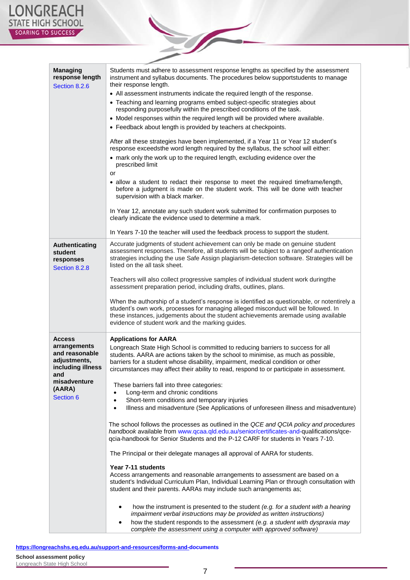| <b>Managing</b><br>response length<br>Section 8.2.6 | Students must adhere to assessment response lengths as specified by the assessment<br>instrument and syllabus documents. The procedures below supportstudents to manage<br>their response length.                                                                                                                           |  |
|-----------------------------------------------------|-----------------------------------------------------------------------------------------------------------------------------------------------------------------------------------------------------------------------------------------------------------------------------------------------------------------------------|--|
|                                                     | • All assessment instruments indicate the required length of the response.                                                                                                                                                                                                                                                  |  |
|                                                     | • Teaching and learning programs embed subject-specific strategies about<br>responding purposefully within the prescribed conditions of the task.                                                                                                                                                                           |  |
|                                                     | • Model responses within the required length will be provided where available.                                                                                                                                                                                                                                              |  |
|                                                     |                                                                                                                                                                                                                                                                                                                             |  |
|                                                     | • Feedback about length is provided by teachers at checkpoints.                                                                                                                                                                                                                                                             |  |
|                                                     | After all these strategies have been implemented, if a Year 11 or Year 12 student's<br>response exceedsthe word length required by the syllabus, the school will either:                                                                                                                                                    |  |
|                                                     | • mark only the work up to the required length, excluding evidence over the<br>prescribed limit                                                                                                                                                                                                                             |  |
|                                                     | or                                                                                                                                                                                                                                                                                                                          |  |
|                                                     | • allow a student to redact their response to meet the required timeframe/length,<br>before a judgment is made on the student work. This will be done with teacher<br>supervision with a black marker.                                                                                                                      |  |
|                                                     | In Year 12, annotate any such student work submitted for confirmation purposes to<br>clearly indicate the evidence used to determine a mark.                                                                                                                                                                                |  |
|                                                     | In Years 7-10 the teacher will used the feedback process to support the student.                                                                                                                                                                                                                                            |  |
| Authenticating<br>student<br>responses              | Accurate judgments of student achievement can only be made on genuine student<br>assessment responses. Therefore, all students will be subject to a rangeof authentication<br>strategies including the use Safe Assign plagiarism-detection software. Strategies will be                                                    |  |
| Section 8.2.8                                       | listed on the all task sheet.                                                                                                                                                                                                                                                                                               |  |
|                                                     | Teachers will also collect progressive samples of individual student work duringthe<br>assessment preparation period, including drafts, outlines, plans.                                                                                                                                                                    |  |
|                                                     | When the authorship of a student's response is identified as questionable, or notentirely a<br>student's own work, processes for managing alleged misconduct will be followed. In<br>these instances, judgements about the student achievements aremade using available<br>evidence of student work and the marking guides. |  |
| <b>Access</b>                                       | <b>Applications for AARA</b>                                                                                                                                                                                                                                                                                                |  |
| arrangements                                        | Longreach State High School is committed to reducing barriers to success for all                                                                                                                                                                                                                                            |  |
| and reasonable<br>adjustments,<br>including illness | students. AARA are actions taken by the school to minimise, as much as possible,<br>barriers for a student whose disability, impairment, medical condition or other<br>circumstances may affect their ability to read, respond to or participate in assessment.                                                             |  |
| and<br>misadventure                                 |                                                                                                                                                                                                                                                                                                                             |  |
| (AARA)                                              | These barriers fall into three categories:<br>Long-term and chronic conditions<br>$\bullet$                                                                                                                                                                                                                                 |  |
| Section 6                                           | Short-term conditions and temporary injuries<br>$\bullet$                                                                                                                                                                                                                                                                   |  |
|                                                     | Illness and misadventure (See Applications of unforeseen illness and misadventure)<br>$\bullet$                                                                                                                                                                                                                             |  |
|                                                     | The school follows the processes as outlined in the QCE and QCIA policy and procedures<br>handbook available from www.qcaa.qld.edu.au/senior/certificates-and-qualifications/qce-<br>qcia-handbook for Senior Students and the P-12 CARF for students in Years 7-10.                                                        |  |
|                                                     | The Principal or their delegate manages all approval of AARA for students.                                                                                                                                                                                                                                                  |  |
|                                                     | Year 7-11 students                                                                                                                                                                                                                                                                                                          |  |
|                                                     | Access arrangements and reasonable arrangements to assessment are based on a                                                                                                                                                                                                                                                |  |
|                                                     | student's Individual Curriculum Plan, Individual Learning Plan or through consultation with<br>student and their parents. AARAs may include such arrangements as;                                                                                                                                                           |  |
|                                                     | how the instrument is presented to the student (e.g. for a student with a hearing                                                                                                                                                                                                                                           |  |
|                                                     | impairment verbal instructions may be provided as written instructions)                                                                                                                                                                                                                                                     |  |
|                                                     | how the student responds to the assessment (e.g. a student with dyspraxia may<br>complete the assessment using a computer with approved software)                                                                                                                                                                           |  |

S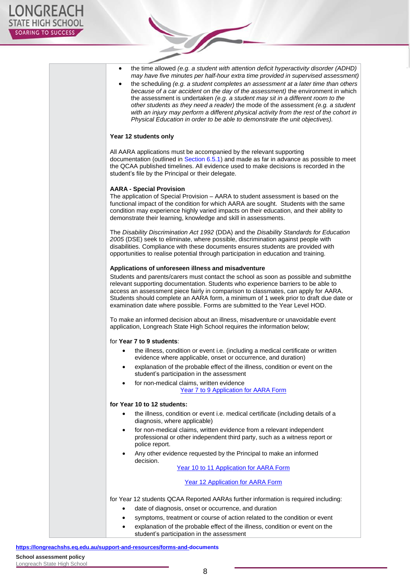| the time allowed (e.g. a student with attention deficit hyperactivity disorder (ADHD)<br>٠<br>may have five minutes per half-hour extra time provided in supervised assessment)<br>the scheduling (e.g. a student completes an assessment at a later time than others<br>٠<br>because of a car accident on the day of the assessment) the environment in which<br>the assessment is undertaken (e.g. a student may sit in a different room to the<br>other students as they need a reader) the mode of the assessment (e.g. a student<br>with an injury may perform a different physical activity from the rest of the cohort in<br>Physical Education in order to be able to demonstrate the unit objectives). |
|-----------------------------------------------------------------------------------------------------------------------------------------------------------------------------------------------------------------------------------------------------------------------------------------------------------------------------------------------------------------------------------------------------------------------------------------------------------------------------------------------------------------------------------------------------------------------------------------------------------------------------------------------------------------------------------------------------------------|
| Year 12 students only                                                                                                                                                                                                                                                                                                                                                                                                                                                                                                                                                                                                                                                                                           |
| All AARA applications must be accompanied by the relevant supporting<br>documentation (outlined in Section 6.5.1) and made as far in advance as possible to meet<br>the QCAA published timelines. All evidence used to make decisions is recorded in the<br>student's file by the Principal or their delegate.                                                                                                                                                                                                                                                                                                                                                                                                  |
| <b>AARA - Special Provision</b><br>The application of Special Provision - AARA to student assessment is based on the<br>functional impact of the condition for which AARA are sought. Students with the same<br>condition may experience highly varied impacts on their education, and their ability to<br>demonstrate their learning, knowledge and skill in assessments.                                                                                                                                                                                                                                                                                                                                      |
| The Disability Discrimination Act 1992 (DDA) and the Disability Standards for Education<br>2005 (DSE) seek to eliminate, where possible, discrimination against people with<br>disabilities. Compliance with these documents ensures students are provided with<br>opportunities to realise potential through participation in education and training.                                                                                                                                                                                                                                                                                                                                                          |
| Applications of unforeseen illness and misadventure                                                                                                                                                                                                                                                                                                                                                                                                                                                                                                                                                                                                                                                             |
| Students and parents/carers must contact the school as soon as possible and submitthe<br>relevant supporting documentation. Students who experience barriers to be able to<br>access an assessment piece fairly in comparison to classmates, can apply for AARA.<br>Students should complete an AARA form, a minimum of 1 week prior to draft due date or<br>examination date where possible. Forms are submitted to the Year Level HOD.                                                                                                                                                                                                                                                                        |
| To make an informed decision about an illness, misadventure or unavoidable event<br>application, Longreach State High School requires the information below;                                                                                                                                                                                                                                                                                                                                                                                                                                                                                                                                                    |
| for Year 7 to 9 students:                                                                                                                                                                                                                                                                                                                                                                                                                                                                                                                                                                                                                                                                                       |
| the illness, condition or event i.e. (including a medical certificate or written<br>evidence where applicable, onset or occurrence, and duration)                                                                                                                                                                                                                                                                                                                                                                                                                                                                                                                                                               |
| explanation of the probable effect of the illness, condition or event on the<br>٠<br>student's participation in the assessment                                                                                                                                                                                                                                                                                                                                                                                                                                                                                                                                                                                  |
| for non-medical claims, written evidence<br>$\bullet$<br>Year 7 to 9 Application for AARA Form                                                                                                                                                                                                                                                                                                                                                                                                                                                                                                                                                                                                                  |
| for Year 10 to 12 students:                                                                                                                                                                                                                                                                                                                                                                                                                                                                                                                                                                                                                                                                                     |
| the illness, condition or event i.e. medical certificate (including details of a<br>$\bullet$<br>diagnosis, where applicable)                                                                                                                                                                                                                                                                                                                                                                                                                                                                                                                                                                                   |
| for non-medical claims, written evidence from a relevant independent<br>$\bullet$<br>professional or other independent third party, such as a witness report or<br>police report.                                                                                                                                                                                                                                                                                                                                                                                                                                                                                                                               |
| Any other evidence requested by the Principal to make an informed<br>٠<br>decision.                                                                                                                                                                                                                                                                                                                                                                                                                                                                                                                                                                                                                             |
| Year 10 to 11 Application for AARA Form                                                                                                                                                                                                                                                                                                                                                                                                                                                                                                                                                                                                                                                                         |
| Year 12 Application for AARA Form                                                                                                                                                                                                                                                                                                                                                                                                                                                                                                                                                                                                                                                                               |
| for Year 12 students QCAA Reported AARAs further information is required including:                                                                                                                                                                                                                                                                                                                                                                                                                                                                                                                                                                                                                             |
| date of diagnosis, onset or occurrence, and duration<br>$\bullet$                                                                                                                                                                                                                                                                                                                                                                                                                                                                                                                                                                                                                                               |
| symptoms, treatment or course of action related to the condition or event<br>$\bullet$                                                                                                                                                                                                                                                                                                                                                                                                                                                                                                                                                                                                                          |
| explanation of the probable effect of the illness, condition or event on the<br>$\bullet$                                                                                                                                                                                                                                                                                                                                                                                                                                                                                                                                                                                                                       |
| student's participation in the assessment                                                                                                                                                                                                                                                                                                                                                                                                                                                                                                                                                                                                                                                                       |

S

**<https://longreachshs.eq.edu.au/support-and-resources/forms-and->[documents](https://longreachshs.eq.edu.au/support-and-resources/forms-and-documents)**

**School assessment policy**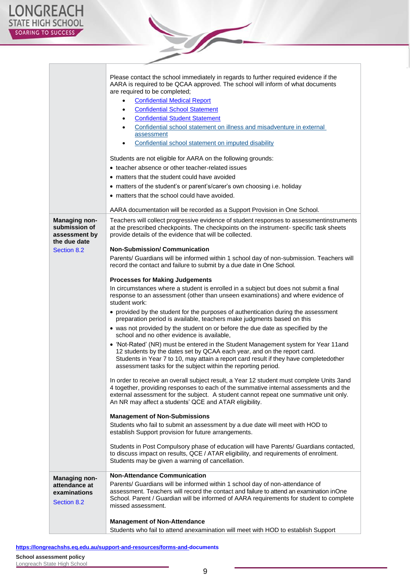|                                                 | Please contact the school immediately in regards to further required evidence if the<br>AARA is required to be QCAA approved. The school will inform of what documents<br>are required to be completed;<br><b>Confidential Medical Report</b><br>$\bullet$<br><b>Confidential School Statement</b><br>$\bullet$<br><b>Confidential Student Statement</b><br>Confidential school statement on illness and misadventure in external<br>assessment<br>Confidential school statement on imputed disability<br>Students are not eligible for AARA on the following grounds:<br>• teacher absence or other teacher-related issues<br>• matters that the student could have avoided<br>• matters of the student's or parent's/carer's own choosing i.e. holiday<br>• matters that the school could have avoided.<br>AARA documentation will be recorded as a Support Provision in One School. |  |  |
|-------------------------------------------------|----------------------------------------------------------------------------------------------------------------------------------------------------------------------------------------------------------------------------------------------------------------------------------------------------------------------------------------------------------------------------------------------------------------------------------------------------------------------------------------------------------------------------------------------------------------------------------------------------------------------------------------------------------------------------------------------------------------------------------------------------------------------------------------------------------------------------------------------------------------------------------------|--|--|
| Managing non-<br>submission of<br>assessment by | Teachers will collect progressive evidence of student responses to assessmentinstruments<br>at the prescribed checkpoints. The checkpoints on the instrument- specific task sheets<br>provide details of the evidence that will be collected.                                                                                                                                                                                                                                                                                                                                                                                                                                                                                                                                                                                                                                          |  |  |
| the due date                                    | <b>Non-Submission/Communication</b>                                                                                                                                                                                                                                                                                                                                                                                                                                                                                                                                                                                                                                                                                                                                                                                                                                                    |  |  |
| Section 8.2                                     | Parents/ Guardians will be informed within 1 school day of non-submission. Teachers will<br>record the contact and failure to submit by a due date in One School.                                                                                                                                                                                                                                                                                                                                                                                                                                                                                                                                                                                                                                                                                                                      |  |  |
|                                                 | <b>Processes for Making Judgements</b>                                                                                                                                                                                                                                                                                                                                                                                                                                                                                                                                                                                                                                                                                                                                                                                                                                                 |  |  |
|                                                 | In circumstances where a student is enrolled in a subject but does not submit a final<br>response to an assessment (other than unseen examinations) and where evidence of<br>student work:                                                                                                                                                                                                                                                                                                                                                                                                                                                                                                                                                                                                                                                                                             |  |  |
|                                                 | • provided by the student for the purposes of authentication during the assessment<br>preparation period is available, teachers make judgments based on this                                                                                                                                                                                                                                                                                                                                                                                                                                                                                                                                                                                                                                                                                                                           |  |  |
|                                                 | • was not provided by the student on or before the due date as specified by the<br>school and no other evidence is available.                                                                                                                                                                                                                                                                                                                                                                                                                                                                                                                                                                                                                                                                                                                                                          |  |  |
|                                                 | • 'Not-Rated' (NR) must be entered in the Student Management system for Year 11and<br>12 students by the dates set by QCAA each year, and on the report card.<br>Students in Year 7 to 10, may attain a report card result if they have completedother<br>assessment tasks for the subject within the reporting period.                                                                                                                                                                                                                                                                                                                                                                                                                                                                                                                                                                |  |  |
|                                                 | In order to receive an overall subject result, a Year 12 student must complete Units 3and<br>4 together, providing responses to each of the summative internal assessments and the<br>external assessment for the subject. A student cannot repeat one summative unit only.<br>An NR may affect a students' QCE and ATAR eligibility.                                                                                                                                                                                                                                                                                                                                                                                                                                                                                                                                                  |  |  |
|                                                 | <b>Management of Non-Submissions</b>                                                                                                                                                                                                                                                                                                                                                                                                                                                                                                                                                                                                                                                                                                                                                                                                                                                   |  |  |
|                                                 | Students who fail to submit an assessment by a due date will meet with HOD to<br>establish Support provision for future arrangements.                                                                                                                                                                                                                                                                                                                                                                                                                                                                                                                                                                                                                                                                                                                                                  |  |  |
|                                                 | Students in Post Compulsory phase of education will have Parents/ Guardians contacted,<br>to discuss impact on results, QCE / ATAR eligibility, and requirements of enrolment.<br>Students may be given a warning of cancellation.                                                                                                                                                                                                                                                                                                                                                                                                                                                                                                                                                                                                                                                     |  |  |
| <b>Managing non-</b>                            | <b>Non-Attendance Communication</b>                                                                                                                                                                                                                                                                                                                                                                                                                                                                                                                                                                                                                                                                                                                                                                                                                                                    |  |  |
| attendance at<br>examinations<br>Section 8.2    | Parents/ Guardians will be informed within 1 school day of non-attendance of<br>assessment. Teachers will record the contact and failure to attend an examination inOne<br>School. Parent / Guardian will be informed of AARA requirements for student to complete<br>missed assessment.                                                                                                                                                                                                                                                                                                                                                                                                                                                                                                                                                                                               |  |  |
|                                                 | <b>Management of Non-Attendance</b>                                                                                                                                                                                                                                                                                                                                                                                                                                                                                                                                                                                                                                                                                                                                                                                                                                                    |  |  |
|                                                 | Students who fail to attend anexamination will meet with HOD to establish Support                                                                                                                                                                                                                                                                                                                                                                                                                                                                                                                                                                                                                                                                                                                                                                                                      |  |  |

**Sold**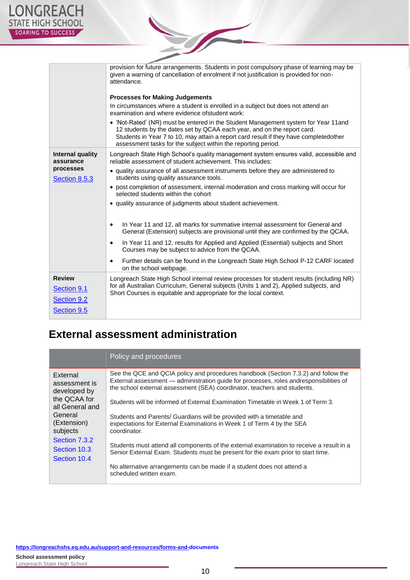|                                                                   | provision for future arrangements. Students in post compulsory phase of learning may be<br>given a warning of cancellation of enrolment if not justification is provided for non-<br>attendance.<br><b>Processes for Making Judgements</b><br>In circumstances where a student is enrolled in a subject but does not attend an<br>examination and where evidence of student work:<br>• 'Not-Rated' (NR) must be entered in the Student Management system for Year 11and<br>12 students by the dates set by QCAA each year, and on the report card.<br>Students in Year 7 to 10, may attain a report card result if they have completedother<br>assessment tasks for the subject within the reporting period. |
|-------------------------------------------------------------------|--------------------------------------------------------------------------------------------------------------------------------------------------------------------------------------------------------------------------------------------------------------------------------------------------------------------------------------------------------------------------------------------------------------------------------------------------------------------------------------------------------------------------------------------------------------------------------------------------------------------------------------------------------------------------------------------------------------|
| Internal quality<br>assurance<br>processes<br>Section 8.5.3       | Longreach State High School's quality management system ensures valid, accessible and<br>reliable assessment of student achievement. This includes:<br>• quality assurance of all assessment instruments before they are administered to<br>students using quality assurance tools.<br>• post completion of assessment, internal moderation and cross marking will occur for<br>selected students within the cohort<br>• quality assurance of judgments about student achievement.<br>In Year 11 and 12, all marks for summative internal assessment for General and<br>٠<br>General (Extension) subjects are provisional until they are confirmed by the QCAA.                                              |
|                                                                   | In Year 11 and 12, results for Applied and Applied (Essential) subjects and Short<br>٠<br>Courses may be subject to advice from the QCAA.<br>Further details can be found in the Longreach State High School P-12 CARF located<br>on the school webpage.                                                                                                                                                                                                                                                                                                                                                                                                                                                     |
| <b>Review</b><br>Section 9.1<br><b>Section 9.2</b><br>Section 9.5 | Longreach State High School internal review processes for student results (including NR)<br>for all Australian Curriculum, General subjects (Units 1 and 2), Applied subjects, and<br>Short Courses is equitable and appropriate for the local context.                                                                                                                                                                                                                                                                                                                                                                                                                                                      |

S

### **External assessment administration**

|                                                                                                                                                                     | Policy and procedures                                                                                                                                                                                                                                    |  |
|---------------------------------------------------------------------------------------------------------------------------------------------------------------------|----------------------------------------------------------------------------------------------------------------------------------------------------------------------------------------------------------------------------------------------------------|--|
| External<br>assessment is<br>developed by<br>the QCAA for<br>all General and<br>General<br>(Extension)<br>subjects<br>Section 7.3.2<br>Section 10.3<br>Section 10.4 | See the QCE and QCIA policy and procedures handbook (Section 7.3.2) and follow the<br>External assessment - administration guide for processes, roles andresponsibilities of<br>the school external assessment (SEA) coordinator, teachers and students. |  |
|                                                                                                                                                                     | Students will be informed of External Examination Timetable in Week 1 of Term 3.                                                                                                                                                                         |  |
|                                                                                                                                                                     | Students and Parents/ Guardians will be provided with a timetable and<br>expectations for External Examinations in Week 1 of Term 4 by the SEA<br>coordinator.                                                                                           |  |
|                                                                                                                                                                     | Students must attend all components of the external examination to receive a result in a<br>Senior External Exam. Students must be present for the exam prior to start time.                                                                             |  |
|                                                                                                                                                                     | No alternative arrangements can be made if a student does not attend a<br>scheduled written exam.                                                                                                                                                        |  |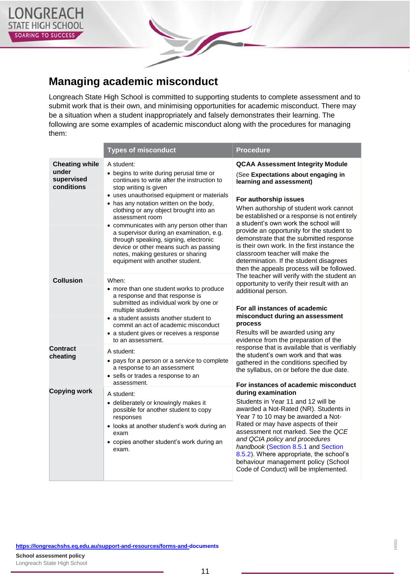

### **Managing academic misconduct**

Longreach State High School is committed to supporting students to complete assessment and to submit work that is their own, and minimising opportunities for academic misconduct. There may be a situation when a student inappropriately and falsely demonstrates their learning. The following are some examples of academic misconduct along with the procedures for managing them:

|                                                            | <b>Types of misconduct</b>                                                                                                                                                                                                                                                                                                                                                                                                                                                                                                              | <b>Procedure</b>                                                                                                                                                                                                                                                                                                                                                                                                                                                                                                                          |
|------------------------------------------------------------|-----------------------------------------------------------------------------------------------------------------------------------------------------------------------------------------------------------------------------------------------------------------------------------------------------------------------------------------------------------------------------------------------------------------------------------------------------------------------------------------------------------------------------------------|-------------------------------------------------------------------------------------------------------------------------------------------------------------------------------------------------------------------------------------------------------------------------------------------------------------------------------------------------------------------------------------------------------------------------------------------------------------------------------------------------------------------------------------------|
| <b>Cheating while</b><br>under<br>supervised<br>conditions | A student:<br>• begins to write during perusal time or<br>continues to write after the instruction to<br>stop writing is given<br>• uses unauthorised equipment or materials<br>• has any notation written on the body,<br>clothing or any object brought into an<br>assessment room<br>• communicates with any person other than<br>a supervisor during an examination, e.g.<br>through speaking, signing, electronic<br>device or other means such as passing<br>notes, making gestures or sharing<br>equipment with another student. | <b>QCAA Assessment Integrity Module</b><br>(See Expectations about engaging in<br>learning and assessment)<br>For authorship issues<br>When authorship of student work cannot<br>be established or a response is not entirely<br>a student's own work the school will<br>provide an opportunity for the student to<br>demonstrate that the submitted response<br>is their own work. In the first instance the<br>classroom teacher will make the<br>determination. If the student disagrees<br>then the appeals process will be followed. |
| <b>Collusion</b>                                           | When:<br>• more than one student works to produce<br>a response and that response is<br>submitted as individual work by one or<br>multiple students<br>• a student assists another student to<br>commit an act of academic misconduct<br>• a student gives or receives a response<br>to an assessment.                                                                                                                                                                                                                                  | The teacher will verify with the student an<br>opportunity to verify their result with an<br>additional person.<br>For all instances of academic<br>misconduct during an assessment<br>process<br>Results will be awarded using any<br>evidence from the preparation of the                                                                                                                                                                                                                                                               |
| <b>Contract</b><br>cheating                                | A student:<br>• pays for a person or a service to complete<br>a response to an assessment<br>• sells or trades a response to an<br>assessment.                                                                                                                                                                                                                                                                                                                                                                                          | response that is available that is verifiably<br>the student's own work and that was<br>gathered in the conditions specified by<br>the syllabus, on or before the due date.<br>For instances of academic misconduct                                                                                                                                                                                                                                                                                                                       |
| <b>Copying work</b>                                        | A student:<br>• deliberately or knowingly makes it<br>possible for another student to copy<br>responses<br>• looks at another student's work during an<br>exam<br>• copies another student's work during an<br>exam.                                                                                                                                                                                                                                                                                                                    | during examination<br>Students in Year 11 and 12 will be<br>awarded a Not-Rated (NR). Students in<br>Year 7 to 10 may be awarded a Not-<br>Rated or may have aspects of their<br>assessment not marked. See the QCE<br>and QCIA policy and procedures<br>handbook (Section 8.5.1 and Section<br>8.5.2). Where appropriate, the school's<br>behaviour management policy (School<br>Code of Conduct) will be implemented.                                                                                                                   |

**<https://longreachshs.eq.edu.au/support-and-resources/forms-and->[documents](https://longreachshs.eq.edu.au/support-and-resources/forms-and-documents)**

**School assessment policy** Longreach State High School 190531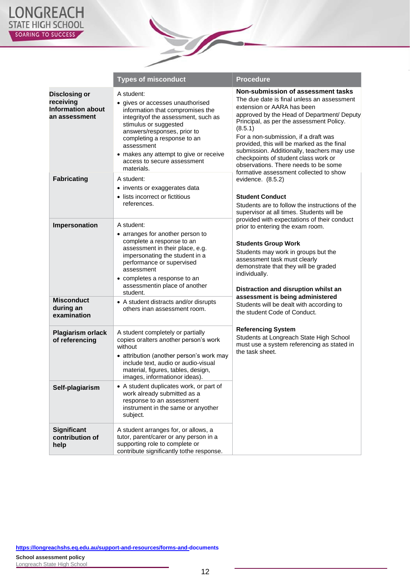

|                                                                                | <b>Types of misconduct</b>                                                                                                                                                                                                                                                                                             | <b>Procedure</b>                                                                                                                                                                                                                                                                                                                                                                                                                        |
|--------------------------------------------------------------------------------|------------------------------------------------------------------------------------------------------------------------------------------------------------------------------------------------------------------------------------------------------------------------------------------------------------------------|-----------------------------------------------------------------------------------------------------------------------------------------------------------------------------------------------------------------------------------------------------------------------------------------------------------------------------------------------------------------------------------------------------------------------------------------|
| <b>Disclosing or</b><br>receiving<br><b>Information about</b><br>an assessment | A student:<br>• gives or accesses unauthorised<br>information that compromises the<br>integrity of the assessment, such as<br>stimulus or suggested<br>answers/responses, prior to<br>completing a response to an<br>assessment<br>• makes any attempt to give or receive<br>access to secure assessment<br>materials. | Non-submission of assessment tasks<br>The due date is final unless an assessment<br>extension or AARA has been<br>approved by the Head of Department/ Deputy<br>Principal, as per the assessment Policy.<br>(8.5.1)<br>For a non-submission, if a draft was<br>provided, this will be marked as the final<br>submission. Additionally, teachers may use<br>checkpoints of student class work or<br>observations. There needs to be some |
| <b>Fabricating</b>                                                             | A student:<br>• invents or exaggerates data<br>• lists incorrect or fictitious<br>references.                                                                                                                                                                                                                          | formative assessment collected to show<br>evidence. (8.5.2)<br><b>Student Conduct</b><br>Students are to follow the instructions of the<br>supervisor at all times. Students will be<br>provided with expectations of their conduct                                                                                                                                                                                                     |
| Impersonation                                                                  | A student:<br>• arranges for another person to<br>complete a response to an<br>assessment in their place, e.g.<br>impersonating the student in a<br>performance or supervised<br>assessment<br>• completes a response to an<br>assessmentin place of another<br>student.                                               | prior to entering the exam room.<br><b>Students Group Work</b><br>Students may work in groups but the<br>assessment task must clearly<br>demonstrate that they will be graded<br>individually.<br>Distraction and disruption whilst an                                                                                                                                                                                                  |
| <b>Misconduct</b><br>during an<br>examination                                  | • A student distracts and/or disrupts<br>others inan assessment room.                                                                                                                                                                                                                                                  | assessment is being administered<br>Students will be dealt with according to<br>the student Code of Conduct.                                                                                                                                                                                                                                                                                                                            |
| <b>Plagiarism orlack</b><br>of referencing                                     | A student completely or partially<br>copies oralters another person's work<br>without<br>• attribution (another person's work may<br>include text, audio or audio-visual<br>material, figures, tables, design,<br>images, informationor ideas).                                                                        | <b>Referencing System</b><br>Students at Longreach State High School<br>must use a system referencing as stated in<br>the task sheet.                                                                                                                                                                                                                                                                                                   |
| Self-plagiarism                                                                | • A student duplicates work, or part of<br>work already submitted as a<br>response to an assessment<br>instrument in the same or anyother<br>subject.                                                                                                                                                                  |                                                                                                                                                                                                                                                                                                                                                                                                                                         |
| <b>Significant</b><br>contribution of<br>help                                  | A student arranges for, or allows, a<br>tutor, parent/carer or any person in a<br>supporting role to complete or<br>contribute significantly tothe response.                                                                                                                                                           |                                                                                                                                                                                                                                                                                                                                                                                                                                         |

Z I

**<https://longreachshs.eq.edu.au/support-and-resources/forms-and->[documents](https://longreachshs.eq.edu.au/support-and-resources/forms-and-documents)**

**School assessment policy** Longreach State High School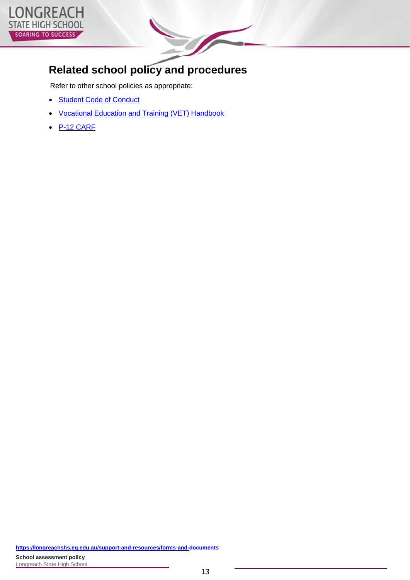

### **Related school policy and procedures**

Refer to other school policies as appropriate:

- Student Code of [Conduct](https://longreachshs.eq.edu.au/SupportAndResources/FormsAndDocuments/Documents/School%20Policies/2021%20LSHS%20Code%20of%20Conduct.pdf)
- [Vocational](https://longreachshs.eq.edu.au/SupportAndResources/FormsAndDocuments/Documents/School%20Policies/LSHS_VET_StudentHandbook_2022.pdf) Education and Training (VET) Handbook
- [P-12 CARF](https://longreachshs.eq.edu.au/SupportAndResources/FormsAndDocuments/Documents/Longreach%20State%20High%20School%20Curriculum%20Assessment%20and%20Reporting%20Framework.pdf)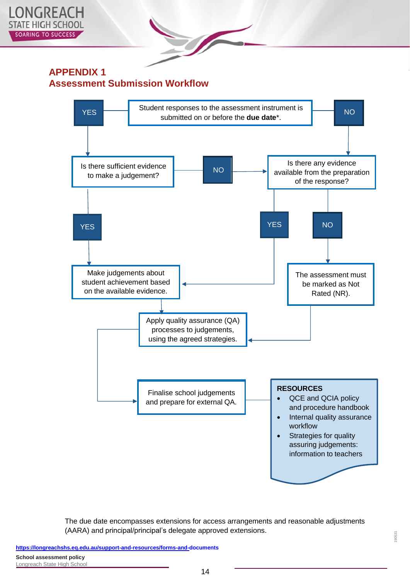

#### **APPENDIX 1 Assessment Submission Workflow**



The due date encompasses extensions for access arrangements and reasonable adjustments (AARA) and principal/principal's delegate approved extensions.

190531

**<https://longreachshs.eq.edu.au/support-and-resources/forms-and->[documents](https://longreachshs.eq.edu.au/support-and-resources/forms-and-documents)**

**School assessment policy** Longreach State High School